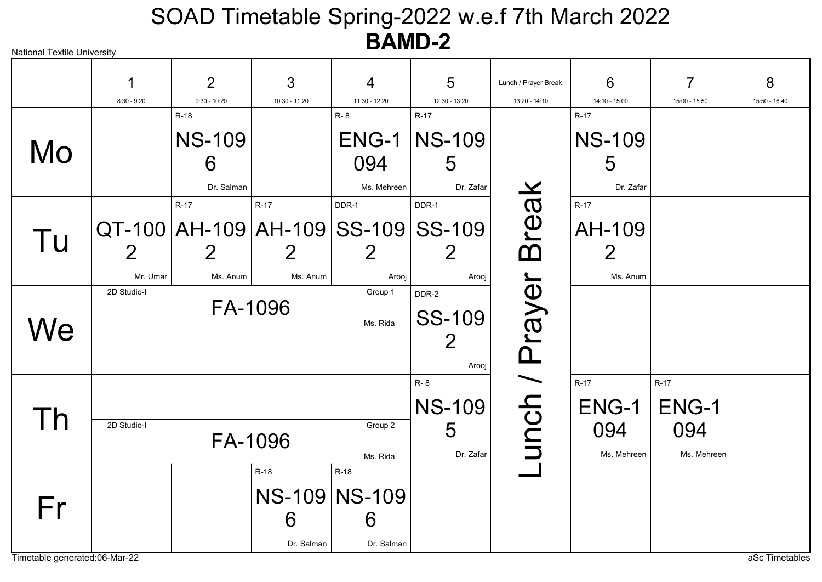| <b>National Textile University</b>  |                            |                                  |                                                                       |                                          |                                            |                                       |                                                |                                       |                    |
|-------------------------------------|----------------------------|----------------------------------|-----------------------------------------------------------------------|------------------------------------------|--------------------------------------------|---------------------------------------|------------------------------------------------|---------------------------------------|--------------------|
|                                     | 1<br>$8:30 - 9:20$         | $\overline{2}$<br>$9:30 - 10:20$ | 3<br>10:30 - 11:20                                                    | 4<br>11:30 - 12:20                       | 5<br>12:30 - 13:20                         | Lunch / Prayer Break<br>13:20 - 14:10 | 6<br>14:10 - 15:00                             | $\overline{7}$<br>15:00 - 15:50       | 8<br>15:50 - 16:40 |
|                                     |                            | $R-18$                           |                                                                       | R-8                                      | $R-17$                                     |                                       | $R-17$                                         |                                       |                    |
| Mo                                  |                            | <b>NS-109</b><br>6<br>Dr. Salman |                                                                       | ENG-1<br>094<br>Ms. Mehreen              | <b>NS-109</b><br>5<br>Dr. Zafar            |                                       | <b>NS-109</b><br>5<br>Dr. Zafar                |                                       |                    |
| Tu                                  | $\overline{2}$<br>Mr. Umar | $R-17$<br>Ms. Anum               | $R-17$<br>QT-100   AH-109   AH-109   SS-109   SS-109<br>2<br>Ms. Anum | DDR-1<br>$\overline{2}$<br>Arooj         | DDR-1<br>Arooj                             | reak                                  | $R-17$<br>AH-109<br>$\overline{2}$<br>Ms. Anum |                                       |                    |
| $N\mathrm{e}$                       | 2D Studio-I                |                                  | FA-1096                                                               | Group 1<br>Ms. Rida                      | DDR-2<br><b>SS-109</b><br>Arooj            | rayer<br><u> Ղ</u>                    |                                                |                                       |                    |
|                                     | 2D Studio-I                |                                  | FA-1096                                                               | Group 2<br>Ms. Rida                      | $R - 8$<br><b>NS-109</b><br>5<br>Dr. Zafar | unch /                                | $R-17$<br>ENG-1<br>094<br>Ms. Mehreen          | $R-17$<br>ENG-1<br>094<br>Ms. Mehreen |                    |
| Fr<br>Timetable generated:06-Mar-22 |                            |                                  | $R-18$<br>6<br>Dr. Salman                                             | R-18<br>NS-109 NS-109<br>6<br>Dr. Salman |                                            |                                       |                                                |                                       | aSc Timetables     |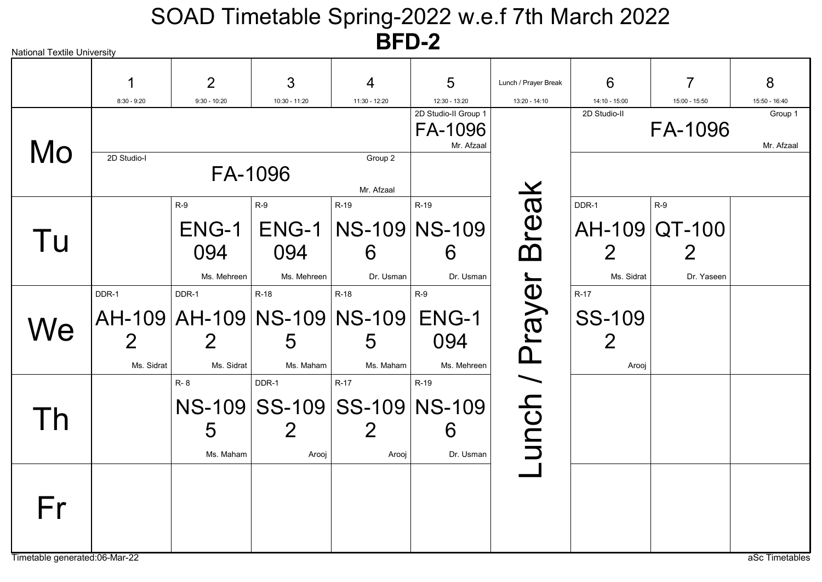| <b>National Textile University</b> |                |                |                             |                         |                                               |                      |                 |               |                       |
|------------------------------------|----------------|----------------|-----------------------------|-------------------------|-----------------------------------------------|----------------------|-----------------|---------------|-----------------------|
|                                    |                | $\overline{2}$ | 3                           | $\overline{4}$          | 5                                             | Lunch / Prayer Break | 6               | 7             | 8                     |
|                                    | $8:30 - 9:20$  | $9:30 - 10:20$ | 10:30 - 11:20               | 11:30 - 12:20           | 12:30 - 13:20                                 | 13:20 - 14:10        | $14:10 - 15:00$ | 15:00 - 15:50 | 15:50 - 16:40         |
| Mo                                 |                |                |                             |                         | 2D Studio-II Group 1<br>FA-1096<br>Mr. Afzaal |                      | 2D Studio-II    | FA-1096       | Group 1<br>Mr. Afzaal |
|                                    | 2D Studio-I    |                | FA-1096                     | Group 2<br>Mr. Afzaal   |                                               |                      |                 |               |                       |
|                                    |                | $R-9$          | $R-9$                       | R-19                    | R-19                                          |                      | DDR-1           | $R-9$         |                       |
| Tu                                 |                | ENG-1          |                             | ENG-1   NS-109   NS-109 |                                               | <b>Break</b>         |                 | AH-109 QT-100 |                       |
|                                    |                | 094            | 094                         | 6                       | 6                                             |                      | $\overline{2}$  | $2\,$         |                       |
|                                    |                | Ms. Mehreen    | Ms. Mehreen                 | Dr. Usman               | Dr. Usman                                     |                      | Ms. Sidrat      | Dr. Yaseen    |                       |
|                                    | DDR-1          | DDR-1          | $R-18$                      | $R-18$                  | $R-9$                                         |                      | $R-17$          |               |                       |
| We                                 |                |                | AH-109 AH-109 NS-109 NS-109 |                         | ENG-1                                         | unch / Prayer        | <b>SS-109</b>   |               |                       |
|                                    | $\overline{2}$ |                | 5                           | 5                       | 094                                           |                      | $\overline{2}$  |               |                       |
|                                    | Ms. Sidrat     | Ms. Sidrat     | Ms. Maham                   | Ms. Maham               | Ms. Mehreen                                   |                      | Arooj           |               |                       |
|                                    |                | R-8            | DDR-1                       | $R-17$                  | R-19                                          |                      |                 |               |                       |
|                                    |                |                | NS-109 SS-109 SS-109 NS-109 |                         |                                               |                      |                 |               |                       |
|                                    |                | 5              |                             | $\overline{2}$          | 6                                             |                      |                 |               |                       |
|                                    |                | Ms. Maham      | Arooj                       | Arooj                   | Dr. Usman                                     |                      |                 |               |                       |
| Fr                                 |                |                |                             |                         |                                               |                      |                 |               |                       |
| Timetable generated:06-Mar-22      |                |                |                             |                         |                                               |                      |                 |               | aSc Timetables        |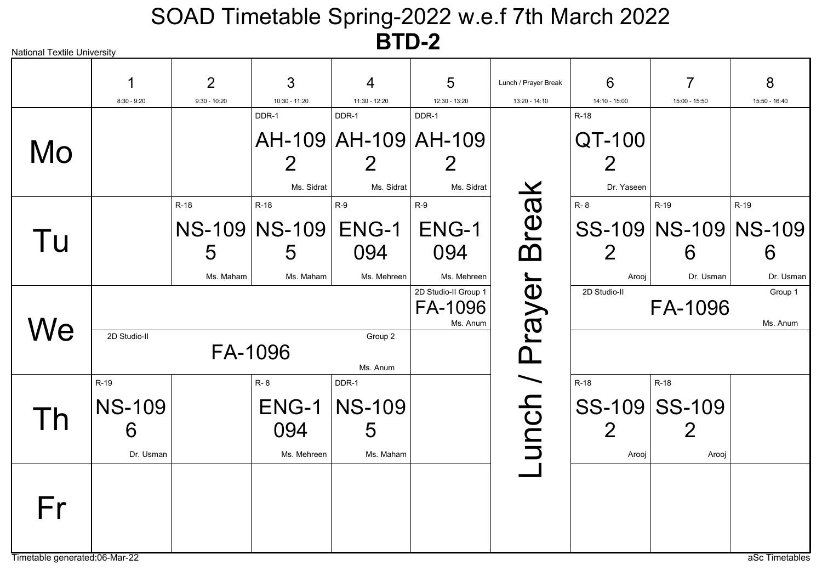| <b>National Textile University</b> |               |                |               |                      |                                             |                      |                 |                          |                     |
|------------------------------------|---------------|----------------|---------------|----------------------|---------------------------------------------|----------------------|-----------------|--------------------------|---------------------|
|                                    |               | $\overline{2}$ | 3             | 4                    | 5                                           | Lunch / Prayer Break | 6               | 7                        | 8                   |
|                                    | $8:30 - 9:20$ | $9:30 - 10:20$ | 10:30 - 11:20 | 11:30 - 12:20        | 12:30 - 13:20                               | 13:20 - 14:10        | $14:10 - 15:00$ | 15:00 - 15:50            | 15:50 - 16:40       |
|                                    |               |                | DDR-1         | DDR-1                | DDR-1                                       |                      | $R-18$          |                          |                     |
| Mo                                 |               |                |               | AH-109 AH-109 AH-109 |                                             |                      | QT-100          |                          |                     |
|                                    |               |                |               |                      |                                             |                      |                 |                          |                     |
|                                    |               |                | Ms. Sidrat    | Ms. Sidrat           | Ms. Sidrat                                  |                      | Dr. Yaseen      |                          |                     |
|                                    |               | $R-18$         | R-18          | $R-9$                | $R-9$                                       |                      | R-8             | R-19                     | R-19                |
| Tu                                 |               |                | NS-109 NS-109 | ENG-1                | ENG-1                                       | Break                |                 | SS-109   NS-109   NS-109 |                     |
|                                    |               | 5              | 5             | 094                  | 094                                         |                      | $\overline{2}$  | 6                        | 6                   |
|                                    |               | Ms. Maham      | Ms. Maham     | Ms. Mehreen          | Ms. Mehreen                                 |                      | Arooj           | Dr. Usman                | Dr. Usman           |
|                                    |               |                |               |                      | 2D Studio-II Group 1<br>FA-1096<br>Ms. Anum | Prayer               | 2D Studio-II    | FA-1096                  | Group 1<br>Ms. Anum |
| We                                 | 2D Studio-II  | FA-1096        |               | Group 2<br>Ms. Anum  |                                             |                      |                 |                          |                     |
|                                    | R-19          |                | R-8           | DDR-1                |                                             |                      | $R-18$          | $R-18$                   |                     |
| h                                  | <b>NS-109</b> |                | ENG-1         | <b>NS-109</b>        |                                             | unch /               | SS-109 SS-109   |                          |                     |
|                                    | 6             |                | 094           | 5                    |                                             |                      | 2               |                          |                     |
|                                    | Dr. Usman     |                | Ms. Mehreen   | Ms. Maham            |                                             |                      | Arooj           | Arooj                    |                     |
| Fr                                 |               |                |               |                      |                                             |                      |                 |                          |                     |
| Timetable generated:06-Mar-22      |               |                |               |                      |                                             |                      |                 |                          | aSc Timetables      |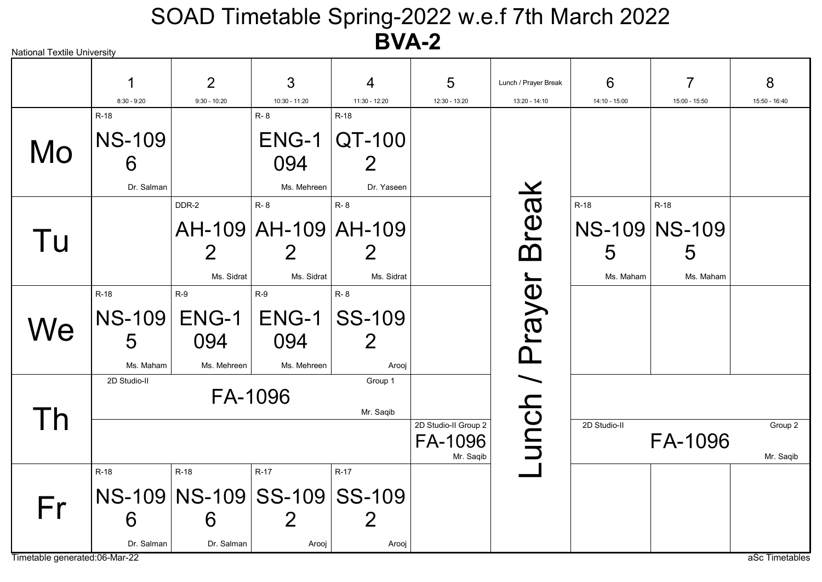| National Textile University   |               |                |                             |                       |                      |                      |               |                |                |
|-------------------------------|---------------|----------------|-----------------------------|-----------------------|----------------------|----------------------|---------------|----------------|----------------|
|                               |               | $\overline{2}$ | 3                           | $\overline{4}$        | 5                    | Lunch / Prayer Break | 6             | $\overline{7}$ | 8              |
|                               | $8:30 - 9:20$ | $9:30 - 10:20$ | 10:30 - 11:20               | 11:30 - 12:20         | 12:30 - 13:20        | $13:20 - 14:10$      | 14:10 - 15:00 | 15:00 - 15:50  | 15:50 - 16:40  |
|                               | $R-18$        |                | R-8                         | $R-18$                |                      |                      |               |                |                |
| Mo                            | <b>NS-109</b> |                |                             | <b>ENG-1   QT-100</b> |                      |                      |               |                |                |
|                               | 6             |                | 094                         | $\overline{2}$        |                      |                      |               |                |                |
|                               | Dr. Salman    |                | Ms. Mehreen                 | Dr. Yaseen            |                      |                      |               |                |                |
|                               |               | DDR-2          | R-8                         | R-8                   |                      |                      | R-18          | R-18           |                |
|                               |               |                | AH-109 AH-109 AH-109        |                       |                      | reak                 |               | NS-109 NS-109  |                |
| Tu                            |               | $\overline{2}$ |                             |                       |                      | ന                    | 5             | 5              |                |
|                               |               | Ms. Sidrat     | Ms. Sidrat                  | Ms. Sidrat            |                      |                      | Ms. Maham     | Ms. Maham      |                |
|                               | $R-18$        | $R-9$          | $R-9$                       | R-8                   |                      |                      |               |                |                |
| We                            |               | NS-109 ENG-1   | $ENG-1$                     | <b>SS-109</b>         |                      | Prayer               |               |                |                |
|                               | 5             | 094            | 094                         | $\overline{2}$        |                      |                      |               |                |                |
|                               | Ms. Maham     | Ms. Mehreen    | Ms. Mehreen                 | Arooj                 |                      |                      |               |                |                |
|                               | 2D Studio-II  |                |                             | Group 1               |                      |                      |               |                |                |
|                               |               |                | FA-1096                     | Mr. Saqib             |                      |                      |               |                |                |
| Īh                            |               |                |                             |                       | 2D Studio-II Group 2 |                      | 2D Studio-II  |                | Group 2        |
|                               |               |                |                             |                       | FA-1096<br>Mr. Saqib | unch /               |               | FA-1096        | Mr. Saqib      |
|                               | R-18          | R-18           | R-17                        | $R-17$                |                      |                      |               |                |                |
| Fr                            |               |                | NS-109 NS-109 SS-109 SS-109 |                       |                      |                      |               |                |                |
|                               | 6             | 6              | 2                           | 2                     |                      |                      |               |                |                |
|                               | Dr. Salman    | Dr. Salman     | Arooj                       | Arooj                 |                      |                      |               |                |                |
| Timetable generated:06-Mar-22 |               |                |                             |                       |                      |                      |               |                | aSc Timetables |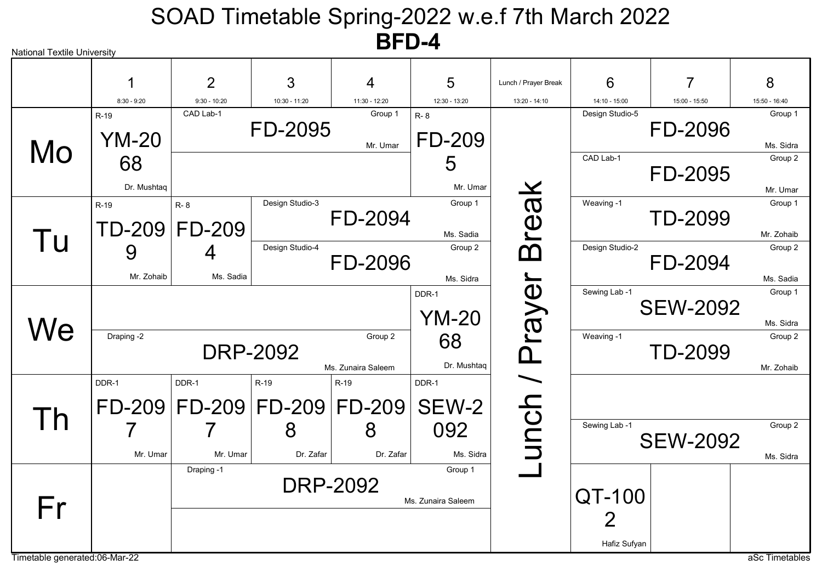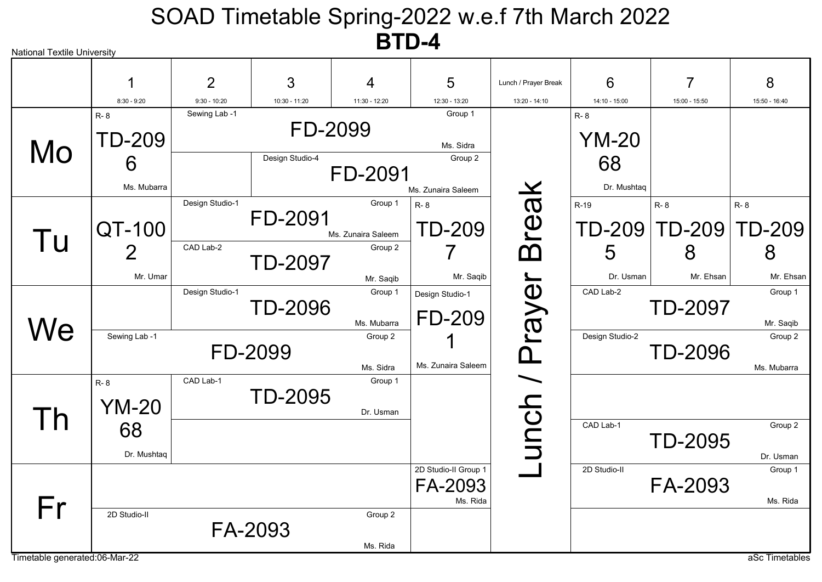| <b>National Textile University</b> |                              |                                 |                            | $\blacksquare$                |                                             |                      |                               |                      |                        |
|------------------------------------|------------------------------|---------------------------------|----------------------------|-------------------------------|---------------------------------------------|----------------------|-------------------------------|----------------------|------------------------|
|                                    |                              | $\overline{2}$                  | 3                          | 4                             | 5                                           | Lunch / Prayer Break | 6                             | 7                    | 8                      |
|                                    | $8:30 - 9:20$                | $9:30 - 10:20$<br>Sewing Lab -1 | 10:30 - 11:20              | $11:30 - 12:20$               | 12:30 - 13:20<br>Group 1                    | $13:20 - 14:10$      | 14:10 - 15:00                 | 15:00 - 15:50        | 15:50 - 16:40          |
| Mo                                 | R-8<br><b>TD-209</b><br>6    |                                 | FD-2099<br>Design Studio-4 |                               | Ms. Sidra<br>Group 2                        |                      | $R - 8$<br><b>YM-20</b><br>68 |                      |                        |
|                                    | Ms. Mubarra                  |                                 |                            | FD-2091                       | Ms. Zunaira Saleem                          |                      | Dr. Mushtaq                   |                      |                        |
| Tu                                 | QT-100                       | Design Studio-1                 | FD-2091                    | Group 1<br>Ms. Zunaira Saleem | R-8<br><b>TD-209</b>                        | reak                 | $R-19$<br>TD-209              | R-8<br><b>TD-209</b> | R-8<br>TD-209          |
|                                    | $\boldsymbol{2}$<br>Mr. Umar | CAD Lab-2                       | <b>TD-2097</b>             | Group 2<br>Mr. Saqib          | Mr. Saqib                                   | ന്                   | 5<br>Dr. Usman                | 8<br>Mr. Ehsan       | 8<br>Mr. Ehsan         |
| We                                 |                              | Design Studio-1                 | <b>TD-2096</b>             | Group 1<br>Ms. Mubarra        | Design Studio-1<br><b>FD-209</b>            | Prayer               | CAD Lab-2                     | <b>TD-2097</b>       | Group 1<br>Mr. Saqib   |
|                                    | Sewing Lab -1                |                                 | FD-2099                    | Group 2<br>Ms. Sidra          | Ms. Zunaira Saleem                          |                      | Design Studio-2               | <b>TD-2096</b>       | Group 2<br>Ms. Mubarra |
| <u>Ih</u>                          | R-8<br><b>YM-20</b>          | CAD Lab-1                       | <b>TD-2095</b>             | Group 1<br>Dr. Usman          |                                             | unch /               |                               |                      |                        |
|                                    | 68<br>Dr. Mushtaq            |                                 |                            |                               |                                             |                      | CAD Lab-1                     | <b>TD-2095</b>       | Group 2<br>Dr. Usman   |
|                                    |                              |                                 |                            |                               | 2D Studio-II Group 1<br>FA-2093<br>Ms. Rida |                      | 2D Studio-II                  | FA-2093              | Group 1<br>Ms. Rida    |
| Fr                                 | 2D Studio-II                 |                                 | FA-2093                    | Group 2<br>Ms. Rida           |                                             |                      |                               |                      |                        |
| Timetable generated:06-Mar-22      |                              |                                 |                            |                               |                                             |                      |                               |                      | aSc Timetables         |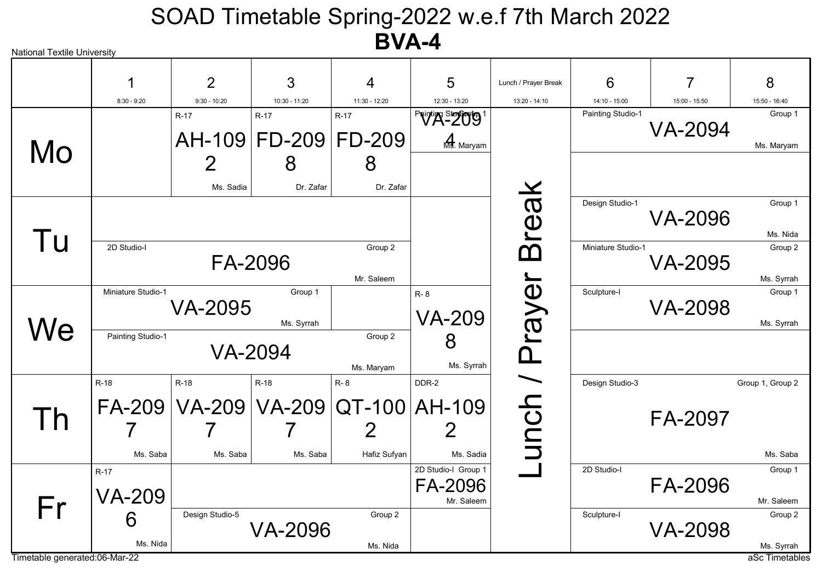| <b>National Textile University</b> |                         |                                            |                                |                       |                                              |                      |                    |                |                              |
|------------------------------------|-------------------------|--------------------------------------------|--------------------------------|-----------------------|----------------------------------------------|----------------------|--------------------|----------------|------------------------------|
|                                    |                         | $\overline{2}$                             | 3                              | 4                     | 5                                            | Lunch / Prayer Break | 6                  | 7              | 8                            |
|                                    | $8:30 - 9:20$           | $9:30 - 10:20$                             | 10:30 - 11:20                  | 11:30 - 12:20         | 12:30 - 13:20                                | 13:20 - 14:10        | 14:10 - 15:00      | 15:00 - 15:50  | 15:50 - 16:40                |
|                                    |                         | $R-17$                                     | $R-17$<br>AH-109 FD-209 FD-209 | $R-17$                | Printing Story of<br>Ms. Maryam              |                      | Painting Studio-1  | <b>VA-2094</b> | Group 1                      |
| Mo                                 |                         | 2                                          | 8                              | 8                     |                                              |                      |                    |                | Ms. Maryam                   |
|                                    |                         | Ms. Sadia                                  | Dr. Zafar                      | Dr. Zafar             |                                              |                      |                    |                |                              |
|                                    |                         |                                            |                                |                       |                                              | <b>Break</b>         | Design Studio-1    | <b>VA-2096</b> | Group 1<br>Ms. Nida          |
| Tu                                 | 2D Studio-I             |                                            | FA-2096                        | Group 2<br>Mr. Saleem |                                              |                      | Miniature Studio-1 | <b>VA-2095</b> | Group 2<br>Ms. Syrrah        |
|                                    | Miniature Studio-1      | <b>VA-2095</b>                             | Group 1<br>Ms. Syrrah          |                       | $R - 8$<br><b>VA-209</b>                     | Prayer               | Sculpture-I        | <b>VA-2098</b> | Group 1<br>Ms. Syrrah        |
| We                                 | Painting Studio-1       |                                            | <b>VA-2094</b>                 | Group 2<br>Ms. Maryam | 8<br>Ms. Syrrah                              |                      |                    |                |                              |
|                                    | $R-18$                  | $R-18$                                     | R-18                           | R-8                   | DDR-2                                        |                      | Design Studio-3    |                | Group 1, Group 2             |
| $\mathsf{I}$                       |                         | FA-209   VA-209   VA-209   QT-100   AH-109 |                                | 2                     | 2                                            | unch /               |                    | FA-2097        |                              |
|                                    | Ms. Saba                | Ms. Saba                                   | Ms. Saba                       | Hafiz Sufyan          | Ms. Sadia                                    |                      |                    |                | Ms. Saba                     |
|                                    | $R-17$<br><b>VA-209</b> |                                            |                                |                       | 2D Studio-I Group 1<br>FA-2096<br>Mr. Saleem |                      | 2D Studio-I        | FA-2096        | Group 1<br>Mr. Saleem        |
| Fr                                 | 6<br>Ms. Nida           | Design Studio-5                            | <b>VA-2096</b>                 | Group 2               |                                              |                      | Sculpture-I        | <b>VA-2098</b> | Group 2                      |
| Timetable generated:06-Mar-22      |                         |                                            |                                | Ms. Nida              |                                              |                      |                    |                | Ms. Syrrah<br>aSc Timetables |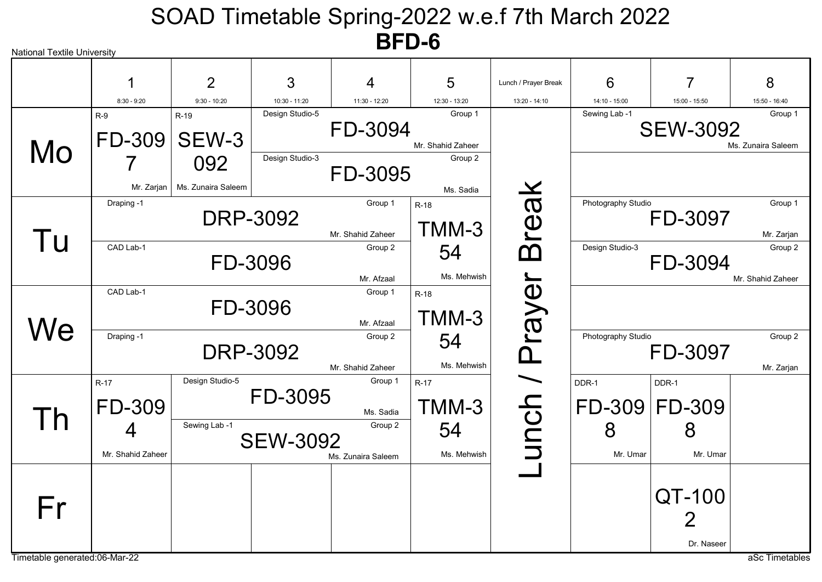| <b>National Textile University</b> |                         |                           |                 |                               |                              |                      |                    |                        |                               |
|------------------------------------|-------------------------|---------------------------|-----------------|-------------------------------|------------------------------|----------------------|--------------------|------------------------|-------------------------------|
|                                    |                         | $\overline{2}$            | 3               | 4                             | 5                            | Lunch / Prayer Break | 6                  | $\overline{7}$         | 8                             |
|                                    | $8:30 - 9:20$           | $9:30 - 10:20$            | 10:30 - 11:20   | 11:30 - 12:20                 | 12:30 - 13:20                | 13:20 - 14:10        | 14:10 - 15:00      | 15:00 - 15:50          | 15:50 - 16:40                 |
| Mo                                 | $R-9$<br>FD-309         | $R-19$<br>SEW-3           | Design Studio-5 | FD-3094                       | Group 1<br>Mr. Shahid Zaheer |                      | Sewing Lab -1      | <b>SEW-3092</b>        | Group 1<br>Ms. Zunaira Saleem |
|                                    | Mr. Zarjan              | 092<br>Ms. Zunaira Saleem | Design Studio-3 | FD-3095                       | Group 2<br>Ms. Sadia         |                      |                    |                        |                               |
| Tu                                 | Draping -1              |                           | <b>DRP-3092</b> | Group 1<br>Mr. Shahid Zaheer  | $R-18$<br>TMM-3              | <b>Break</b>         | Photography Studio | FD-3097                | Group 1<br>Mr. Zarjan         |
|                                    | CAD Lab-1               |                           | FD-3096         | Group 2<br>Mr. Afzaal         | 54<br>Ms. Mehwish            |                      | Design Studio-3    | FD-3094                | Group 2<br>Mr. Shahid Zaheer  |
| $N\mathsf{e}$                      | CAD Lab-1               |                           | FD-3096         | Group 1<br>Mr. Afzaal         | $R-18$<br>TMM-3              | Prayer               |                    |                        |                               |
|                                    | Draping -1              |                           | <b>DRP-3092</b> | Group 2<br>Mr. Shahid Zaheer  | 54<br>Ms. Mehwish            |                      | Photography Studio | FD-3097                | Group 2<br>Mr. Zarjan         |
| I h                                | $R-17$<br><b>FD-309</b> | Design Studio-5           | FD-3095         | Group 1<br>Ms. Sadia          | $R-17$<br>TMM-3              | unch /               | DDR-1              | DDR-1<br>FD-309 FD-309 |                               |
|                                    | 4<br>Mr. Shahid Zaheer  | Sewing Lab -1             | <b>SEW-3092</b> | Group 2<br>Ms. Zunaira Saleem | 54<br>Ms. Mehwish            |                      | 8<br>Mr. Umar      | 8<br>Mr. Umar          |                               |
| Fr                                 |                         |                           |                 |                               |                              |                      |                    | QT-100<br>2            |                               |
| Timetable generated:06-Mar-22      |                         |                           |                 |                               |                              |                      |                    | Dr. Naseer             | aSc Timetables                |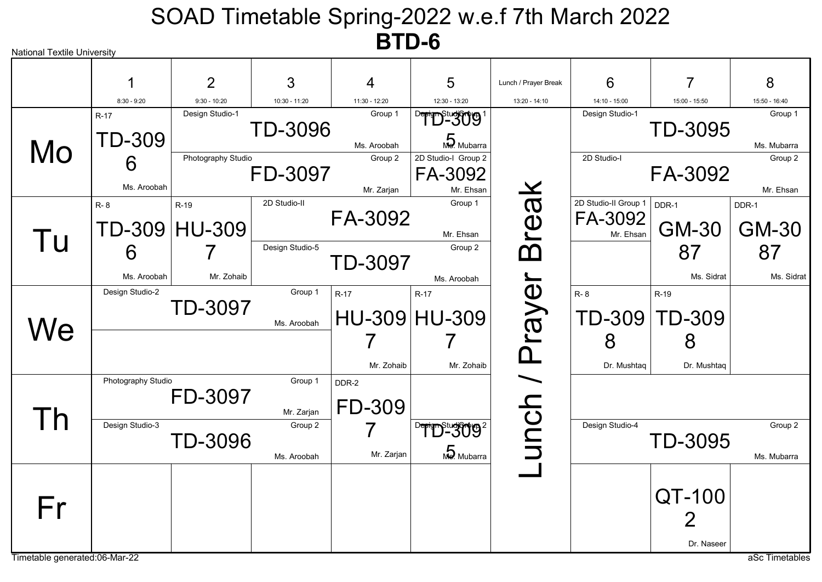

Timetable generated:06-Mar-22 as a set of the state of the state of the state of the state of the state of the state of the state of the state of the state of the state of the state of the state of the state of the state o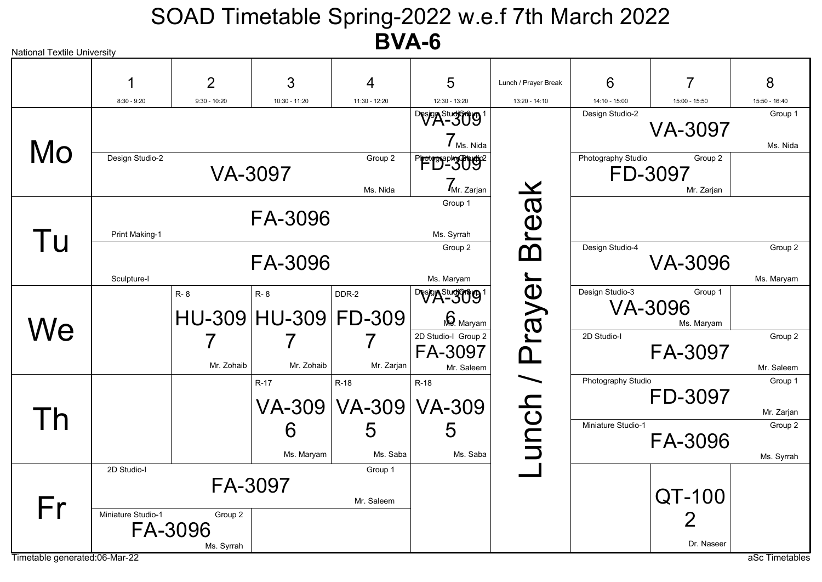| <b>National Textile University</b> |                    |                                  |                             | P 7 7 8 V             |                                               |                      |                    |                                  |                       |
|------------------------------------|--------------------|----------------------------------|-----------------------------|-----------------------|-----------------------------------------------|----------------------|--------------------|----------------------------------|-----------------------|
|                                    |                    | $\overline{2}$                   | 3                           | 4                     | 5                                             | Lunch / Prayer Break | 6                  | 7                                | 8                     |
|                                    | $8:30 - 9:20$      | $9:30 - 10:20$                   | 10:30 - 11:20               | 11:30 - 12:20         | 12:30 - 13:20                                 | 13:20 - 14:10        | 14:10 - 15:00      | 15:00 - 15:50                    | 15:50 - 16:40         |
|                                    |                    |                                  |                             |                       | Design Studion g<br>$7_{\text{Ms. Nida}}$     |                      | Design Studio-2    | <b>VA-3097</b>                   | Group 1<br>Ms. Nida   |
| Mo                                 | Design Studio-2    |                                  | <b>VA-3097</b>              | Group 2<br>Ms. Nida   | Photographysyngs<br>$Z_{\text{Mr. Zarjan}}$   |                      | Photography Studio | Group 2<br>FD-3097<br>Mr. Zarjan |                       |
| Tu                                 | Print Making-1     |                                  | FA-3096                     |                       | Group 1<br>Ms. Syrrah                         | <b>Break</b>         |                    |                                  |                       |
|                                    | Sculpture-I        |                                  | FA-3096                     |                       | Group 2<br>Ms. Maryam                         |                      | Design Studio-4    | <b>VA-3096</b>                   | Group 2<br>Ms. Maryam |
|                                    |                    | R-8                              | R-8<br>HU-309 HU-309 FD-309 | DDR-2                 | Design Study of 1<br>$\mathbf{\Omega}$ Maryam | Prayer               | Design Studio-3    | Group 1<br>VA-3096<br>Ms. Maryam |                       |
| We                                 |                    | Mr. Zohaib                       | Mr. Zohaib                  | Mr. Zarjan            | 2D Studio-I Group 2<br>FA-3097<br>Mr. Saleem  |                      | 2D Studio-I        | FA-3097                          | Group 2<br>Mr. Saleem |
|                                    |                    |                                  | R-17                        | R-18<br>VA-309 VA-309 | $R-18$<br><b>VA-309</b>                       | unch /               | Photography Studio | FD-3097                          | Group 1<br>Mr. Zarjan |
| Th                                 |                    |                                  | 6<br>Ms. Maryam             | 5<br>Ms. Saba         | 5<br>Ms. Saba                                 |                      | Miniature Studio-1 | FA-3096                          | Group 2<br>Ms. Syrrah |
| Fr                                 | 2D Studio-I        |                                  | FA-3097                     | Group 1<br>Mr. Saleem |                                               |                      |                    | QT-100                           |                       |
| Timetable generated:06-Mar-22      | Miniature Studio-1 | Group 2<br>FA-3096<br>Ms. Syrrah |                             |                       |                                               |                      |                    | 2<br>Dr. Naseer                  | aSc Timetables        |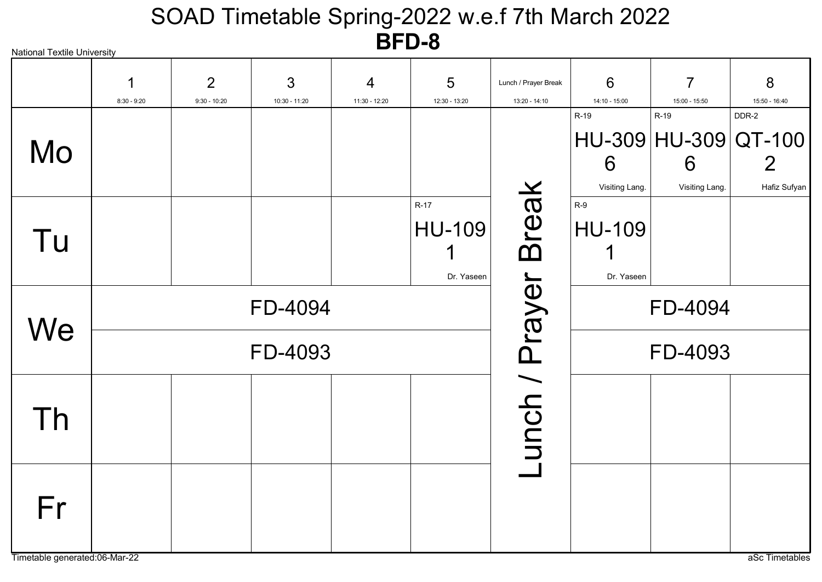| <b>National Textile University</b> |               |                |               |               |               |                      |                |                      |               |
|------------------------------------|---------------|----------------|---------------|---------------|---------------|----------------------|----------------|----------------------|---------------|
|                                    | 1             | 2              | 3             | 4             | 5             | Lunch / Prayer Break | 6              | $\overline{7}$       | 8             |
|                                    | $8:30 - 9:20$ | $9:30 - 10:20$ | 10:30 - 11:20 | 11:30 - 12:20 | 12:30 - 13:20 | 13:20 - 14:10        | 14:10 - 15:00  | 15:00 - 15:50        | 15:50 - 16:40 |
|                                    |               |                |               |               |               |                      | R-19           | R-19                 | DDR-2         |
|                                    |               |                |               |               |               |                      |                | HU-309 HU-309 QT-100 |               |
| Mo                                 |               |                |               |               |               |                      | 6              | 6                    | $\mathbf{2}$  |
|                                    |               |                |               |               |               |                      | Visiting Lang. | Visiting Lang.       | Hafiz Sufyan  |
|                                    |               |                |               |               | $R-17$        |                      | $R-9$          |                      |               |
|                                    |               |                |               |               | HU-109        |                      | <b>HU-109</b>  |                      |               |
| Tu                                 |               |                |               |               | 1             |                      |                |                      |               |
|                                    |               |                |               |               | Dr. Yaseen    |                      | Dr. Yaseen     |                      |               |
|                                    |               |                | FD-4094       |               |               |                      |                | FD-4094              |               |
| We                                 |               |                | FD-4093       |               |               | unch / Prayer Break  |                | FD-4093              |               |
|                                    |               |                |               |               |               |                      |                |                      |               |
| Th                                 |               |                |               |               |               |                      |                |                      |               |
|                                    |               |                |               |               |               |                      |                |                      |               |
|                                    |               |                |               |               |               |                      |                |                      |               |
| Fr                                 |               |                |               |               |               |                      |                |                      |               |
|                                    |               |                |               |               |               |                      |                |                      |               |
|                                    |               |                |               |               |               |                      |                |                      |               |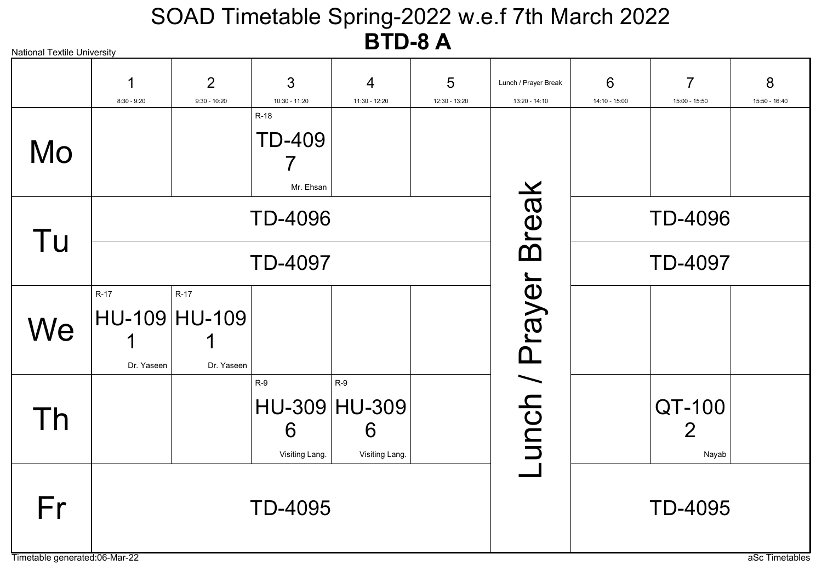| <b>National Textile University</b>  |                    |                                       |                                      |                                               | - - -         |                      |               |                 |                |
|-------------------------------------|--------------------|---------------------------------------|--------------------------------------|-----------------------------------------------|---------------|----------------------|---------------|-----------------|----------------|
|                                     |                    | $\overline{2}$                        | 3                                    | 4                                             | 5             | Lunch / Prayer Break | 6             | 7               | 8              |
|                                     | $8:30 - 9:20$      | $9:30 - 10:20$                        | 10:30 - 11:20                        | 11:30 - 12:20                                 | 12:30 - 13:20 | 13:20 - 14:10        | 14:10 - 15:00 | 15:00 - 15:50   | 15:50 - 16:40  |
| Mo                                  |                    |                                       | $R-18$<br><b>TD-409</b><br>Mr. Ehsan |                                               |               |                      |               |                 |                |
| Tu                                  |                    |                                       | <b>TD-4096</b>                       |                                               |               | <b>Break</b>         |               | <b>TD-4096</b>  |                |
|                                     |                    |                                       | <b>TD-4097</b>                       |                                               |               |                      |               | <b>TD-4097</b>  |                |
| We                                  | R-17<br>Dr. Yaseen | $R-17$<br>HU-109 HU-109<br>Dr. Yaseen |                                      |                                               |               | unch / Prayer        |               |                 |                |
| Τh                                  |                    |                                       | $R-9$<br>6<br>Visiting Lang.         | $R-9$<br>HU-309 HU-309<br>6<br>Visiting Lang. |               |                      |               | QT-100<br>Nayab |                |
| Fr<br>Timetable generated:06-Mar-22 |                    |                                       | <b>TD-4095</b>                       |                                               |               |                      |               | <b>TD-4095</b>  | aSc Timetables |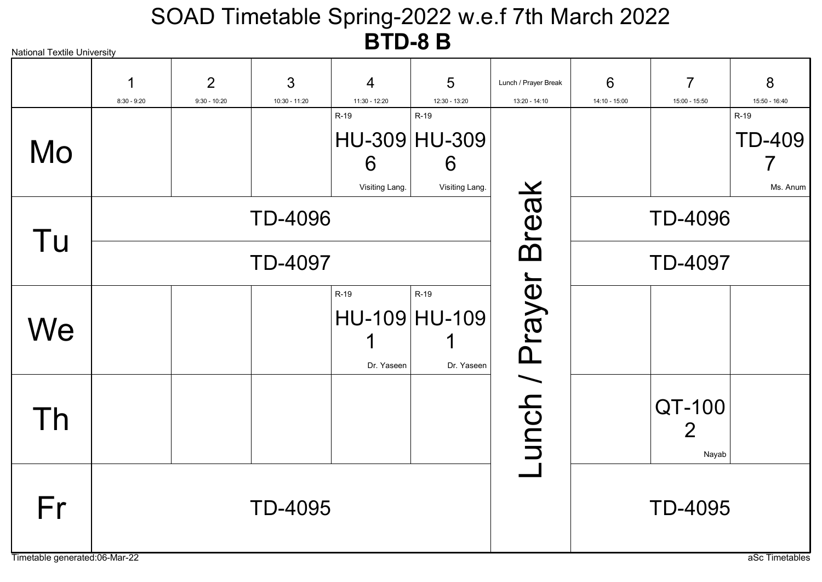| <b>National Textile University</b>  |               |                                  |                    |                             |                                              |                                       |                    |                                 |                                   |
|-------------------------------------|---------------|----------------------------------|--------------------|-----------------------------|----------------------------------------------|---------------------------------------|--------------------|---------------------------------|-----------------------------------|
|                                     | $8:30 - 9:20$ | $\overline{2}$<br>$9:30 - 10:20$ | 3<br>10:30 - 11:20 | 4<br>11:30 - 12:20          | 5<br>12:30 - 13:20                           | Lunch / Prayer Break<br>13:20 - 14:10 | 6<br>14:10 - 15:00 | $\overline{7}$<br>15:00 - 15:50 | 8<br>15:50 - 16:40                |
| Mo                                  |               |                                  |                    | R-19<br>6<br>Visiting Lang. | R-19<br>HU-309 HU-309<br>6<br>Visiting Lang. |                                       |                    |                                 | R-19<br><b>TD-409</b><br>Ms. Anum |
| Tu                                  |               |                                  | <b>TD-4096</b>     |                             |                                              | <b>Break</b>                          |                    | <b>TD-4096</b>                  |                                   |
|                                     |               |                                  | <b>TD-4097</b>     |                             |                                              |                                       |                    | <b>TD-4097</b>                  |                                   |
| We                                  |               |                                  |                    | R-19<br>Dr. Yaseen          | R-19<br>HU-109 HU-109<br>Dr. Yaseen          | unch / Prayer                         |                    |                                 |                                   |
| Th                                  |               |                                  |                    |                             |                                              |                                       |                    | QT-100<br>Nayab                 |                                   |
| Fr<br>Timetable generated:06-Mar-22 |               |                                  | <b>TD-4095</b>     |                             |                                              |                                       |                    | <b>TD-4095</b>                  | aSc Timetables                    |